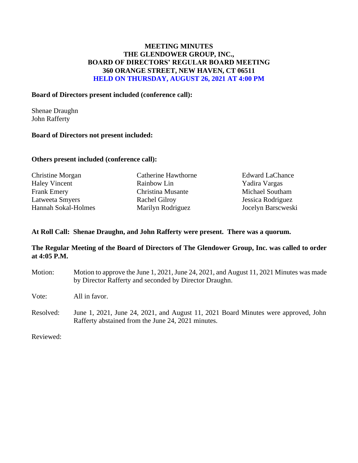# **MEETING MINUTES THE GLENDOWER GROUP, INC., BOARD OF DIRECTORS' REGULAR BOARD MEETING 360 ORANGE STREET, NEW HAVEN, CT 06511 HELD ON THURSDAY, AUGUST 26, 2021 AT 4:00 PM**

### **Board of Directors present included (conference call):**

Shenae Draughn John Rafferty

## **Board of Directors not present included:**

### **Others present included (conference call):**

| Christine Morgan     | Catherine Hawthorne  | <b>Edward LaChance</b> |
|----------------------|----------------------|------------------------|
| <b>Haley Vincent</b> | Rainbow Lin          | Yadira Vargas          |
| <b>Frank Emery</b>   | Christina Musante    | Michael Southam        |
| Latweeta Smyers      | <b>Rachel Gilroy</b> | Jessica Rodriguez      |
| Hannah Sokal-Holmes  | Marilyn Rodriguez    | Jocelyn Barscweski     |
|                      |                      |                        |

### **At Roll Call: Shenae Draughn, and John Rafferty were present. There was a quorum.**

## **The Regular Meeting of the Board of Directors of The Glendower Group, Inc. was called to order at 4:05 P.M.**

Motion: Motion to approve the June 1, 2021, June 24, 2021, and August 11, 2021 Minutes was made by Director Rafferty and seconded by Director Draughn. Vote: All in favor. Resolved: June 1, 2021, June 24, 2021, and August 11, 2021 Board Minutes were approved, John Rafferty abstained from the June 24, 2021 minutes.

Reviewed: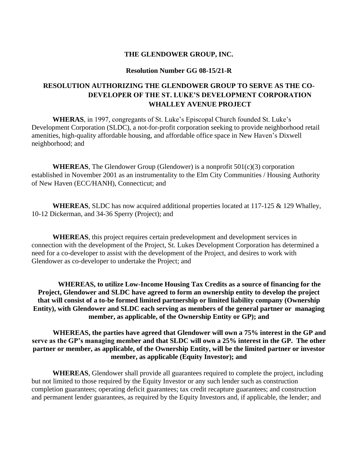#### **Resolution Number GG 08-15/21-R**

# **RESOLUTION AUTHORIZING THE GLENDOWER GROUP TO SERVE AS THE CO-DEVELOPER OF THE ST. LUKE'S DEVELOPMENT CORPORATION WHALLEY AVENUE PROJECT**

**WHERAS**, in 1997, congregants of St. Luke's Episcopal Church founded St. Luke's Development Corporation (SLDC), a not-for-profit corporation seeking to provide neighborhood retail amenities, high-quality affordable housing, and affordable office space in New Haven's Dixwell neighborhood; and

**WHEREAS**, The Glendower Group (Glendower) is a nonprofit 501(c)(3) corporation established in November 2001 as an instrumentality to the Elm City Communities / Housing Authority of New Haven (ECC/HANH), Connecticut; and

**WHEREAS**, SLDC has now acquired additional properties located at 117-125 & 129 Whalley, 10-12 Dickerman, and 34-36 Sperry (Project); and

**WHEREAS**, this project requires certain predevelopment and development services in connection with the development of the Project, St. Lukes Development Corporation has determined a need for a co-developer to assist with the development of the Project, and desires to work with Glendower as co-developer to undertake the Project; and

**WHEREAS, to utilize Low-Income Housing Tax Credits as a source of financing for the Project, Glendower and SLDC have agreed to form an ownership entity to develop the project that will consist of a to-be formed limited partnership or limited liability company (Ownership Entity), with Glendower and SLDC each serving as members of the general partner or managing member, as applicable, of the Ownership Entity or GP); and**

# **WHEREAS, the parties have agreed that Glendower will own a 75% interest in the GP and serve as the GP's managing member and that SLDC will own a 25% interest in the GP. The other partner or member, as applicable, of the Ownership Entity, will be the limited partner or investor member, as applicable (Equity Investor); and**

**WHEREAS**, Glendower shall provide all guarantees required to complete the project, including but not limited to those required by the Equity Investor or any such lender such as construction completion guarantees; operating deficit guarantees; tax credit recapture guarantees; and construction and permanent lender guarantees, as required by the Equity Investors and, if applicable, the lender; and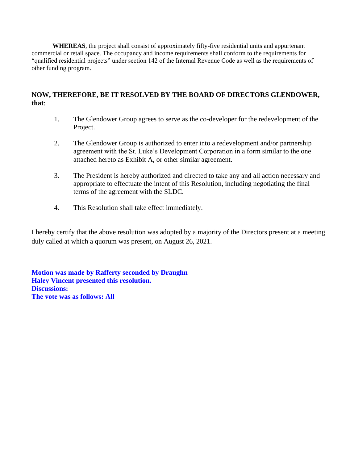**WHEREAS**, the project shall consist of approximately fifty-five residential units and appurtenant commercial or retail space. The occupancy and income requirements shall conform to the requirements for "qualified residential projects" under section 142 of the Internal Revenue Code as well as the requirements of other funding program.

## **NOW, THEREFORE, BE IT RESOLVED BY THE BOARD OF DIRECTORS GLENDOWER, that**:

- 1. The Glendower Group agrees to serve as the co-developer for the redevelopment of the Project.
- 2. The Glendower Group is authorized to enter into a redevelopment and/or partnership agreement with the St. Luke's Development Corporation in a form similar to the one attached hereto as Exhibit A, or other similar agreement.
- 3. The President is hereby authorized and directed to take any and all action necessary and appropriate to effectuate the intent of this Resolution, including negotiating the final terms of the agreement with the SLDC.
- 4. This Resolution shall take effect immediately.

I hereby certify that the above resolution was adopted by a majority of the Directors present at a meeting duly called at which a quorum was present, on August 26, 2021.

**Motion was made by Rafferty seconded by Draughn Haley Vincent presented this resolution. Discussions: The vote was as follows: All**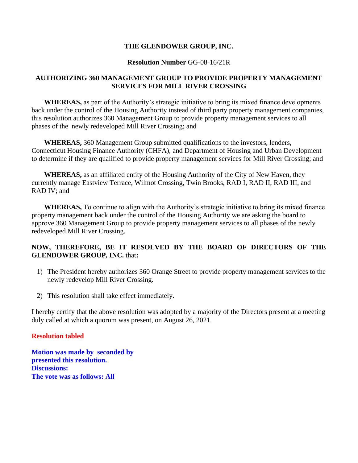#### **Resolution Number** GG-08-16/21R

# **AUTHORIZING 360 MANAGEMENT GROUP TO PROVIDE PROPERTY MANAGEMENT SERVICES FOR MILL RIVER CROSSING**

**WHEREAS,** as part of the Authority's strategic initiative to bring its mixed finance developments back under the control of the Housing Authority instead of third party property management companies, this resolution authorizes 360 Management Group to provide property management services to all phases of the newly redeveloped Mill River Crossing; and

**WHEREAS,** 360 Management Group submitted qualifications to the investors, lenders, Connecticut Housing Finance Authority (CHFA), and Department of Housing and Urban Development to determine if they are qualified to provide property management services for Mill River Crossing; and

**WHEREAS,** as an affiliated entity of the Housing Authority of the City of New Haven, they currently manage Eastview Terrace, Wilmot Crossing, Twin Brooks, RAD I, RAD II, RAD III, and RAD IV; and

**WHEREAS,** To continue to align with the Authority's strategic initiative to bring its mixed finance property management back under the control of the Housing Authority we are asking the board to approve 360 Management Group to provide property management services to all phases of the newly redeveloped Mill River Crossing.

# **NOW, THEREFORE, BE IT RESOLVED BY THE BOARD OF DIRECTORS OF THE GLENDOWER GROUP, INC.** that**:**

- 1) The President hereby authorizes 360 Orange Street to provide property management services to the newly redevelop Mill River Crossing.
- 2) This resolution shall take effect immediately.

I hereby certify that the above resolution was adopted by a majority of the Directors present at a meeting duly called at which a quorum was present, on August 26, 2021.

## **Resolution tabled**

**Motion was made by seconded by presented this resolution. Discussions: The vote was as follows: All**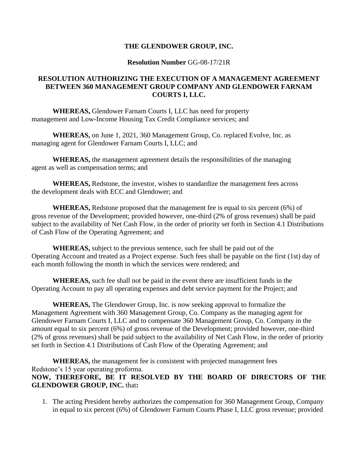### **Resolution Number** GG-08-17/21R

# **RESOLUTION AUTHORIZING THE EXECUTION OF A MANAGEMENT AGREEMENT BETWEEN 360 MANAGEMENT GROUP COMPANY AND GLENDOWER FARNAM COURTS I, LLC.**

**WHEREAS,** Glendower Farnam Courts I, LLC has need for property management and Low-Income Housing Tax Credit Compliance services; and

**WHEREAS,** on June 1, 2021, 360 Management Group, Co. replaced Evolve, Inc. as managing agent for Glendower Farnam Courts I, LLC; and

**WHEREAS,** the management agreement details the responsibilities of the managing agent as well as compensation terms; and

**WHEREAS,** Redstone, the investor, wishes to standardize the management fees across the development deals with ECC and Glendower; and

**WHEREAS,** Redstone proposed that the management fee is equal to six percent (6%) of gross revenue of the Development; provided however, one-third (2% of gross revenues) shall be paid subject to the availability of Net Cash Flow, in the order of priority set forth in Section 4.1 Distributions of Cash Flow of the Operating Agreement; and

**WHEREAS,** subject to the previous sentence, such fee shall be paid out of the Operating Account and treated as a Project expense. Such fees shall be payable on the first (1st) day of each month following the month in which the services were rendered; and

**WHEREAS,** such fee shall not be paid in the event there are insufficient funds in the Operating Account to pay all operating expenses and debt service payment for the Project; and

**WHEREAS,** The Glendower Group, Inc. is now seeking approval to formalize the Management Agreement with 360 Management Group, Co. Company as the managing agent for Glendower Farnam Courts I, LLC and to compensate 360 Management Group, Co. Company in the amount equal to six percent (6%) of gross revenue of the Development; provided however, one-third (2% of gross revenues) shall be paid subject to the availability of Net Cash Flow, in the order of priority set forth in Section 4.1 Distributions of Cash Flow of the Operating Agreement; and

**WHEREAS,** the management fee is consistent with projected management fees Redstone's 15 year operating proforma. **NOW, THEREFORE, BE IT RESOLVED BY THE BOARD OF DIRECTORS OF THE GLENDOWER GROUP, INC.** that**:**

1. The acting President hereby authorizes the compensation for 360 Management Group, Company in equal to six percent (6%) of Glendower Farnum Courts Phase I, LLC gross revenue; provided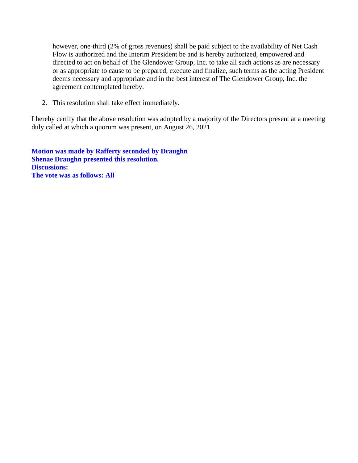however, one-third (2% of gross revenues) shall be paid subject to the availability of Net Cash Flow is authorized and the Interim President be and is hereby authorized, empowered and directed to act on behalf of The Glendower Group, Inc. to take all such actions as are necessary or as appropriate to cause to be prepared, execute and finalize, such terms as the acting President deems necessary and appropriate and in the best interest of The Glendower Group, Inc. the agreement contemplated hereby.

2. This resolution shall take effect immediately.

I hereby certify that the above resolution was adopted by a majority of the Directors present at a meeting duly called at which a quorum was present, on August 26, 2021.

**Motion was made by Rafferty seconded by Draughn Shenae Draughn presented this resolution. Discussions: The vote was as follows: All**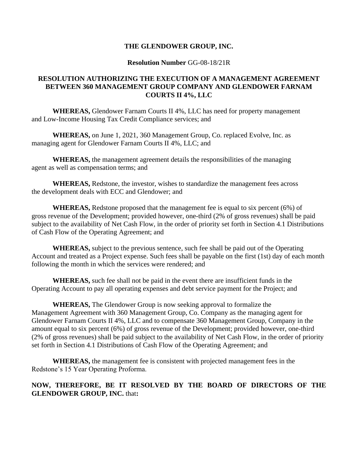### **Resolution Number** GG-08-18/21R

# **RESOLUTION AUTHORIZING THE EXECUTION OF A MANAGEMENT AGREEMENT BETWEEN 360 MANAGEMENT GROUP COMPANY AND GLENDOWER FARNAM COURTS II 4%, LLC**

**WHEREAS,** Glendower Farnam Courts II 4%, LLC has need for property management and Low-Income Housing Tax Credit Compliance services; and

**WHEREAS,** on June 1, 2021, 360 Management Group, Co. replaced Evolve, Inc. as managing agent for Glendower Farnam Courts II 4%, LLC; and

**WHEREAS,** the management agreement details the responsibilities of the managing agent as well as compensation terms; and

**WHEREAS,** Redstone, the investor, wishes to standardize the management fees across the development deals with ECC and Glendower; and

**WHEREAS,** Redstone proposed that the management fee is equal to six percent (6%) of gross revenue of the Development; provided however, one-third (2% of gross revenues) shall be paid subject to the availability of Net Cash Flow, in the order of priority set forth in Section 4.1 Distributions of Cash Flow of the Operating Agreement; and

**WHEREAS,** subject to the previous sentence, such fee shall be paid out of the Operating Account and treated as a Project expense. Such fees shall be payable on the first (1st) day of each month following the month in which the services were rendered; and

**WHEREAS,** such fee shall not be paid in the event there are insufficient funds in the Operating Account to pay all operating expenses and debt service payment for the Project; and

**WHEREAS,** The Glendower Group is now seeking approval to formalize the Management Agreement with 360 Management Group, Co. Company as the managing agent for Glendower Farnam Courts II 4%, LLC and to compensate 360 Management Group, Company in the amount equal to six percent (6%) of gross revenue of the Development; provided however, one-third (2% of gross revenues) shall be paid subject to the availability of Net Cash Flow, in the order of priority set forth in Section 4.1 Distributions of Cash Flow of the Operating Agreement; and

**WHEREAS,** the management fee is consistent with projected management fees in the Redstone's 15 Year Operating Proforma.

# **NOW, THEREFORE, BE IT RESOLVED BY THE BOARD OF DIRECTORS OF THE GLENDOWER GROUP, INC.** that**:**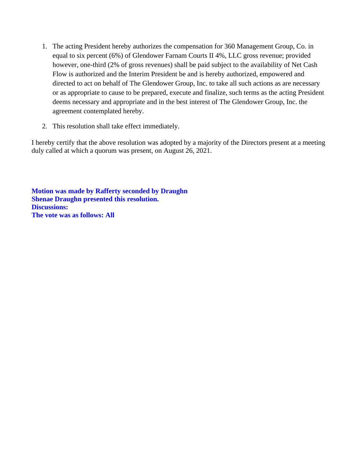- 1. The acting President hereby authorizes the compensation for 360 Management Group, Co. in equal to six percent (6%) of Glendower Farnam Courts II 4%, LLC gross revenue; provided however, one-third (2% of gross revenues) shall be paid subject to the availability of Net Cash Flow is authorized and the Interim President be and is hereby authorized, empowered and directed to act on behalf of The Glendower Group, Inc. to take all such actions as are necessary or as appropriate to cause to be prepared, execute and finalize, such terms as the acting President deems necessary and appropriate and in the best interest of The Glendower Group, Inc. the agreement contemplated hereby.
- 2. This resolution shall take effect immediately.

I hereby certify that the above resolution was adopted by a majority of the Directors present at a meeting duly called at which a quorum was present, on August 26, 2021.

**Motion was made by Rafferty seconded by Draughn Shenae Draughn presented this resolution. Discussions: The vote was as follows: All**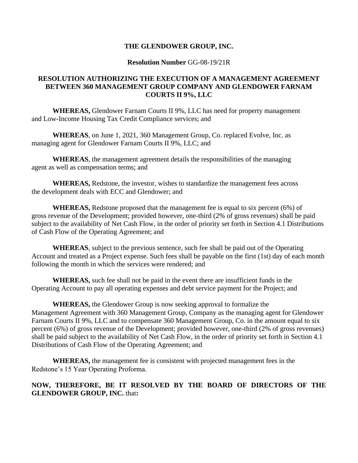### **Resolution Number** GG-08-19/21R

# **RESOLUTION AUTHORIZING THE EXECUTION OF A MANAGEMENT AGREEMENT BETWEEN 360 MANAGEMENT GROUP COMPANY AND GLENDOWER FARNAM COURTS II 9%, LLC**

**WHEREAS,** Glendower Farnam Courts II 9%, LLC has need for property management and Low-Income Housing Tax Credit Compliance services; and

**WHEREAS**, on June 1, 2021, 360 Management Group, Co. replaced Evolve, Inc. as managing agent for Glendower Farnam Courts II 9%, LLC; and

**WHEREAS**, the management agreement details the responsibilities of the managing agent as well as compensation terms; and

**WHEREAS,** Redstone, the investor, wishes to standardize the management fees across the development deals with ECC and Glendower; and

**WHEREAS,** Redstone proposed that the management fee is equal to six percent (6%) of gross revenue of the Development; provided however, one-third (2% of gross revenues) shall be paid subject to the availability of Net Cash Flow, in the order of priority set forth in Section 4.1 Distributions of Cash Flow of the Operating Agreement; and

**WHEREAS**, subject to the previous sentence, such fee shall be paid out of the Operating Account and treated as a Project expense. Such fees shall be payable on the first (1st) day of each month following the month in which the services were rendered; and

**WHEREAS,** such fee shall not be paid in the event there are insufficient funds in the Operating Account to pay all operating expenses and debt service payment for the Project; and

**WHEREAS,** the Glendower Group is now seeking approval to formalize the Management Agreement with 360 Management Group, Company as the managing agent for Glendower Farnam Courts II 9%, LLC and to compensate 360 Management Group, Co. in the amount equal to six percent (6%) of gross revenue of the Development; provided however, one-third (2% of gross revenues) shall be paid subject to the availability of Net Cash Flow, in the order of priority set forth in Section 4.1 Distributions of Cash Flow of the Operating Agreement; and

**WHEREAS,** the management fee is consistent with projected management fees in the Redstone's 15 Year Operating Proforma.

## **NOW, THEREFORE, BE IT RESOLVED BY THE BOARD OF DIRECTORS OF THE GLENDOWER GROUP, INC.** that**:**